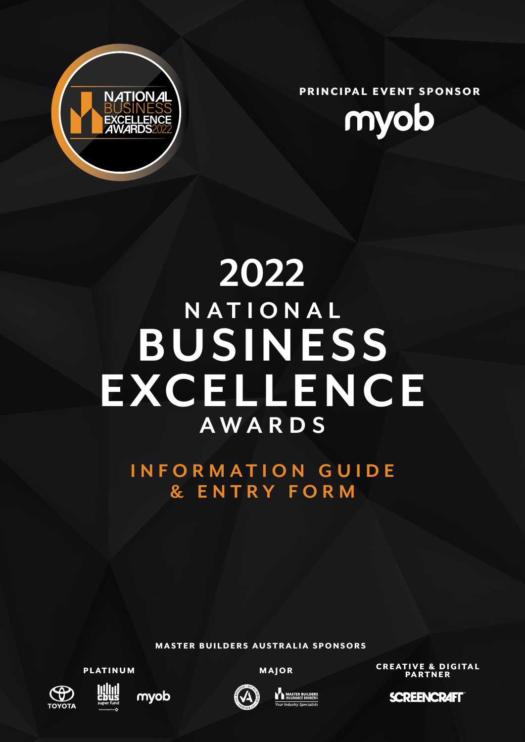

PRINCIPAL EVENT SPONSOR



# **BUSINESS EXCELLENCE NATIONAL AWARDS 2022**

**INFORMATION GUIDE & ENTRY FORM**

MASTER BUILDERS AUSTRALIA SPONSORS

PLATINUM









MAJOR CREATIVE & DIGITAL PARTNER

**SCREENCRAFT**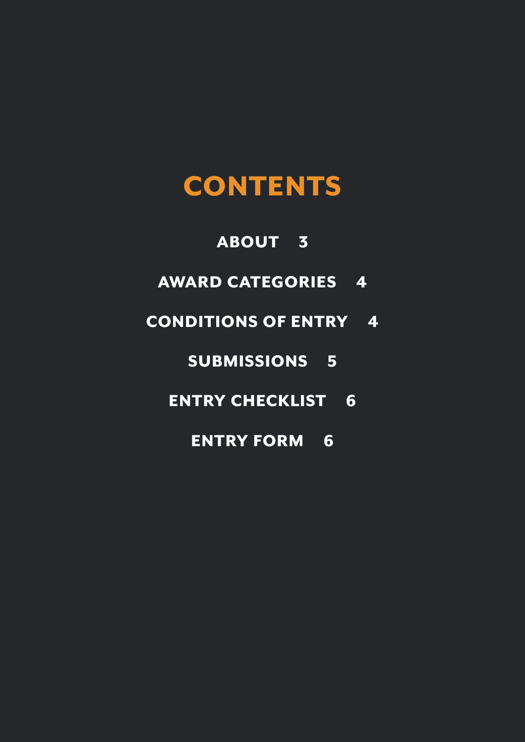## **CONTENTS**

### ABOUT 3

AWARD CATEGORIES 4

### CONDITIONS OF ENTRY 4

### SUBMISSIONS 5

### ENTRY CHECKLIST 6

### ENTRY FORM 6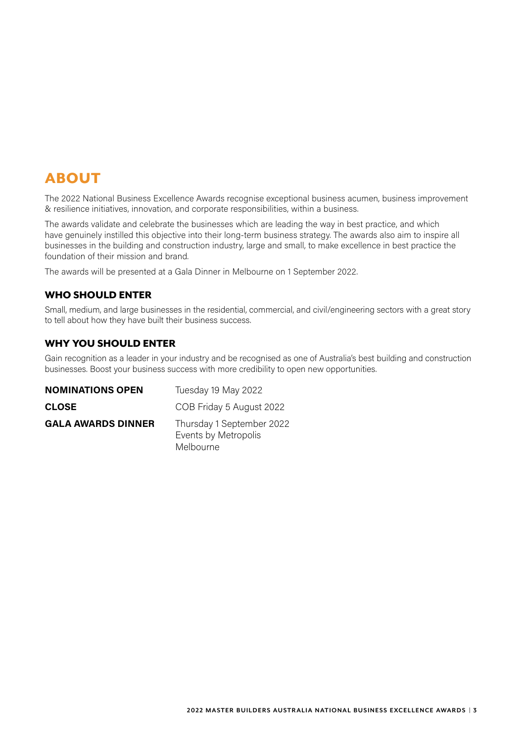### ABOUT

The 2022 National Business Excellence Awards recognise exceptional business acumen, business improvement & resilience initiatives, innovation, and corporate responsibilities, within a business.

The awards validate and celebrate the businesses which are leading the way in best practice, and which have genuinely instilled this objective into their long-term business strategy. The awards also aim to inspire all businesses in the building and construction industry, large and small, to make excellence in best practice the foundation of their mission and brand.

The awards will be presented at a Gala Dinner in Melbourne on 1 September 2022.

#### WHO SHOULD ENTER

Small, medium, and large businesses in the residential, commercial, and civil/engineering sectors with a great story to tell about how they have built their business success.

#### WHY YOU SHOULD ENTER

Gain recognition as a leader in your industry and be recognised as one of Australia's best building and construction businesses. Boost your business success with more credibility to open new opportunities.

| <b>NOMINATIONS OPEN</b>   | Tuesday 19 May 2022                                            |  |
|---------------------------|----------------------------------------------------------------|--|
| <b>CLOSE</b>              | COB Friday 5 August 2022                                       |  |
| <b>GALA AWARDS DINNER</b> | Thursday 1 September 2022<br>Events by Metropolis<br>Melbourne |  |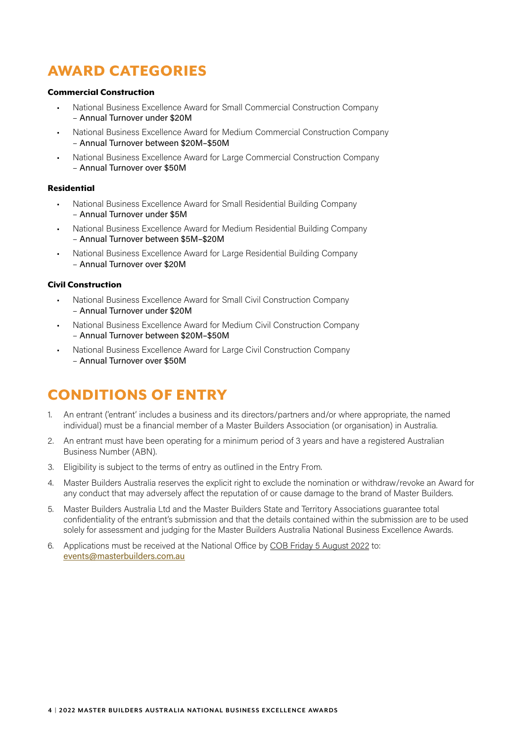### AWARD CATEGORIES

#### Commercial Construction

- National Business Excellence Award for Small Commercial Construction Company – Annual Turnover under \$20M
- National Business Excellence Award for Medium Commercial Construction Company – Annual Turnover between \$20M–\$50M
- National Business Excellence Award for Large Commercial Construction Company – Annual Turnover over \$50M

#### Residential

- National Business Excellence Award for Small Residential Building Company – Annual Turnover under \$5M
- National Business Excellence Award for Medium Residential Building Company – Annual Turnover between \$5M–\$20M
- National Business Excellence Award for Large Residential Building Company – Annual Turnover over \$20M

#### Civil Construction

- National Business Excellence Award for Small Civil Construction Company – Annual Turnover under \$20M
- National Business Excellence Award for Medium Civil Construction Company – Annual Turnover between \$20M–\$50M
- National Business Excellence Award for Large Civil Construction Company – Annual Turnover over \$50M

### CONDITIONS OF ENTRY

- 1. An entrant ('entrant' includes a business and its directors/partners and/or where appropriate, the named individual) must be a financial member of a Master Builders Association (or organisation) in Australia.
- 2. An entrant must have been operating for a minimum period of 3 years and have a registered Australian Business Number (ABN).
- 3. Eligibility is subject to the terms of entry as outlined in the Entry From.
- 4. Master Builders Australia reserves the explicit right to exclude the nomination or withdraw/revoke an Award for any conduct that may adversely affect the reputation of or cause damage to the brand of Master Builders.
- 5. Master Builders Australia Ltd and the Master Builders State and Territory Associations guarantee total confidentiality of the entrant's submission and that the details contained within the submission are to be used solely for assessment and judging for the Master Builders Australia National Business Excellence Awards.
- 6. Applications must be received at the National Office by COB Friday 5 August 2022 to: events[@masterbuilders.com.au](mailto:ceo@masterbuilders.com.au)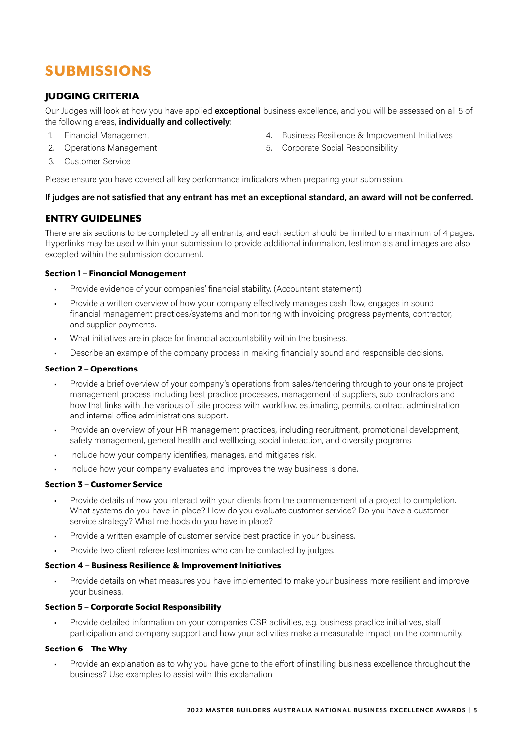### SUBMISSIONS

#### JUDGING CRITERIA

Our Judges will look at how you have applied **exceptional** business excellence, and you will be assessed on all 5 of the following areas, **individually and collectively**:

- 1. Financial Management
- 2. Operations Management
- 4. Business Resilience & Improvement Initiatives
- 5. Corporate Social Responsibility

3. Customer Service

Please ensure you have covered all key performance indicators when preparing your submission.

#### **If judges are not satisfied that any entrant has met an exceptional standard, an award will not be conferred.**

#### ENTRY GUIDELINES

There are six sections to be completed by all entrants, and each section should be limited to a maximum of 4 pages. Hyperlinks may be used within your submission to provide additional information, testimonials and images are also excepted within the submission document.

#### Section 1 – Financial Management

- Provide evidence of your companies' financial stability. (Accountant statement)
- Provide a written overview of how your company effectively manages cash flow, engages in sound financial management practices/systems and monitoring with invoicing progress payments, contractor, and supplier payments.
- What initiatives are in place for financial accountability within the business.
- Describe an example of the company process in making financially sound and responsible decisions.

#### Section 2 – Operations

- Provide a brief overview of your company's operations from sales/tendering through to your onsite project management process including best practice processes, management of suppliers, sub-contractors and how that links with the various off-site process with workflow, estimating, permits, contract administration and internal office administrations support.
- Provide an overview of your HR management practices, including recruitment, promotional development, safety management, general health and wellbeing, social interaction, and diversity programs.
- Include how your company identifies, manages, and mitigates risk.
- Include how your company evaluates and improves the way business is done.

#### Section 3 – Customer Service

- Provide details of how you interact with your clients from the commencement of a project to completion. What systems do you have in place? How do you evaluate customer service? Do you have a customer service strategy? What methods do you have in place?
- Provide a written example of customer service best practice in your business.
- Provide two client referee testimonies who can be contacted by judges.

#### Section 4 – Business Resilience & Improvement Initiatives

• Provide details on what measures you have implemented to make your business more resilient and improve your business.

#### Section 5 – Corporate Social Responsibility

• Provide detailed information on your companies CSR activities, e.g. business practice initiatives, staff participation and company support and how your activities make a measurable impact on the community.

#### Section 6 – The Why

• Provide an explanation as to why you have gone to the effort of instilling business excellence throughout the business? Use examples to assist with this explanation.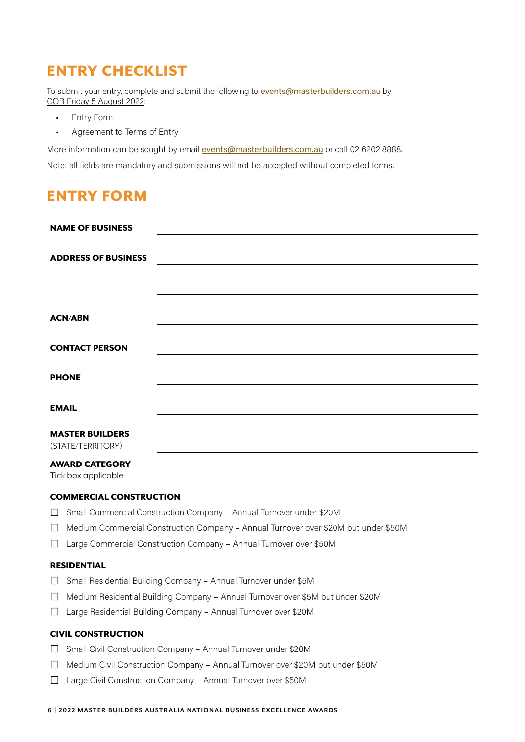### ENTRY CHECKLIST

To submit your entry, complete and submit the following to **events[@masterbuilders.com.au](mailto:ceo@masterbuilders.com.au)** by COB Friday 5 August 2022:

- Entry Form
- Agreement to Terms of Entry

More information can be sought by email **events[@masterbuilders.com.au](mailto:ceo@masterbuilders.com.au)** or call 02 6202 8888.

Note: all fields are mandatory and submissions will not be accepted without completed forms.

### ENTRY FORM

|                                                                    | <b>NAME OF BUSINESS</b>                                                                                 |  |  |
|--------------------------------------------------------------------|---------------------------------------------------------------------------------------------------------|--|--|
|                                                                    |                                                                                                         |  |  |
|                                                                    | <b>ADDRESS OF BUSINESS</b><br><u> 1989 - Johann Stein, mars an de Francisco Communication (f. 1989)</u> |  |  |
|                                                                    |                                                                                                         |  |  |
|                                                                    |                                                                                                         |  |  |
| <b>ACN/ABN</b>                                                     |                                                                                                         |  |  |
|                                                                    |                                                                                                         |  |  |
|                                                                    | <b>CONTACT PERSON</b>                                                                                   |  |  |
|                                                                    |                                                                                                         |  |  |
| <b>PHONE</b>                                                       |                                                                                                         |  |  |
|                                                                    |                                                                                                         |  |  |
| <b>EMAIL</b>                                                       |                                                                                                         |  |  |
|                                                                    | <b>MASTER BUILDERS</b>                                                                                  |  |  |
| (STATE/TERRITORY)                                                  |                                                                                                         |  |  |
|                                                                    | <b>AWARD CATEGORY</b>                                                                                   |  |  |
| Tick box applicable                                                |                                                                                                         |  |  |
|                                                                    | <b>COMMERCIAL CONSTRUCTION</b>                                                                          |  |  |
| $\perp$                                                            | Small Commercial Construction Company - Annual Turnover under \$20M                                     |  |  |
| $\perp$                                                            | Medium Commercial Construction Company - Annual Turnover over \$20M but under \$50M                     |  |  |
| Large Commercial Construction Company - Annual Turnover over \$50M |                                                                                                         |  |  |
| <b>RESIDENTIAL</b>                                                 |                                                                                                         |  |  |
| $\Box$                                                             | Small Residential Building Company - Annual Turnover under \$5M                                         |  |  |

- ☐ Medium Residential Building Company Annual Turnover over \$5M but under \$20M
- ☐ Large Residential Building Company Annual Turnover over \$20M

#### CIVIL CONSTRUCTION

- ☐ Small Civil Construction Company Annual Turnover under \$20M
- ☐ Medium Civil Construction Company Annual Turnover over \$20M but under \$50M
- ☐ Large Civil Construction Company Annual Turnover over \$50M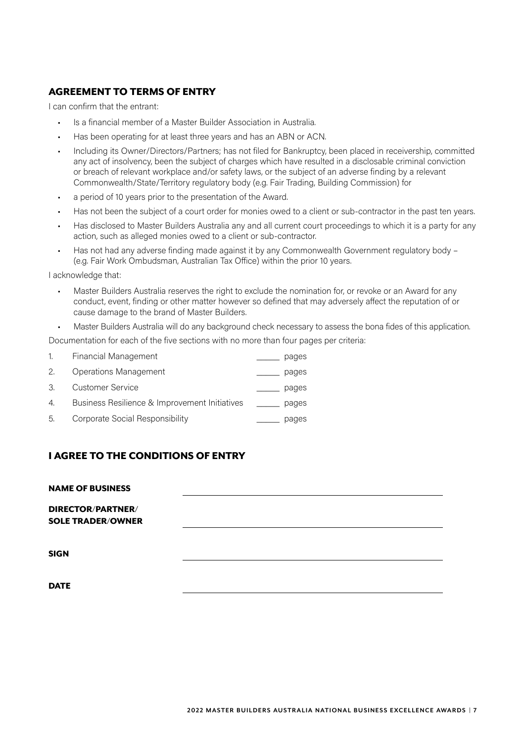#### AGREEMENT TO TERMS OF ENTRY

I can confirm that the entrant:

- Is a financial member of a Master Builder Association in Australia.
- Has been operating for at least three years and has an ABN or ACN.
- Including its Owner/Directors/Partners; has not filed for Bankruptcy, been placed in receivership, committed any act of insolvency, been the subject of charges which have resulted in a disclosable criminal conviction or breach of relevant workplace and/or safety laws, or the subject of an adverse finding by a relevant Commonwealth/State/Territory regulatory body (e.g. Fair Trading, Building Commission) for
- a period of 10 years prior to the presentation of the Award.
- Has not been the subject of a court order for monies owed to a client or sub-contractor in the past ten years.
- Has disclosed to Master Builders Australia any and all current court proceedings to which it is a party for any action, such as alleged monies owed to a client or sub-contractor.
- Has not had any adverse finding made against it by any Commonwealth Government regulatory body (e.g. Fair Work Ombudsman, Australian Tax Office) within the prior 10 years.

I acknowledge that:

- Master Builders Australia reserves the right to exclude the nomination for, or revoke or an Award for any conduct, event, finding or other matter however so defined that may adversely affect the reputation of or cause damage to the brand of Master Builders.
- Master Builders Australia will do any background check necessary to assess the bona fides of this application.

Documentation for each of the five sections with no more than four pages per criteria:

| 1. | <b>Financial Management</b>                   | pages |
|----|-----------------------------------------------|-------|
| 2. | Operations Management                         | pages |
| 3. | Customer Service                              | pages |
| 4. | Business Resilience & Improvement Initiatives | pages |
| 5. | Corporate Social Responsibility               | pages |
|    |                                               |       |

#### I AGREE TO THE CONDITIONS OF ENTRY

#### NAME OF BUSINESS

DIRECTOR/PARTNER/ SOLE TRADER/OWNER

SIGN

**DATE**